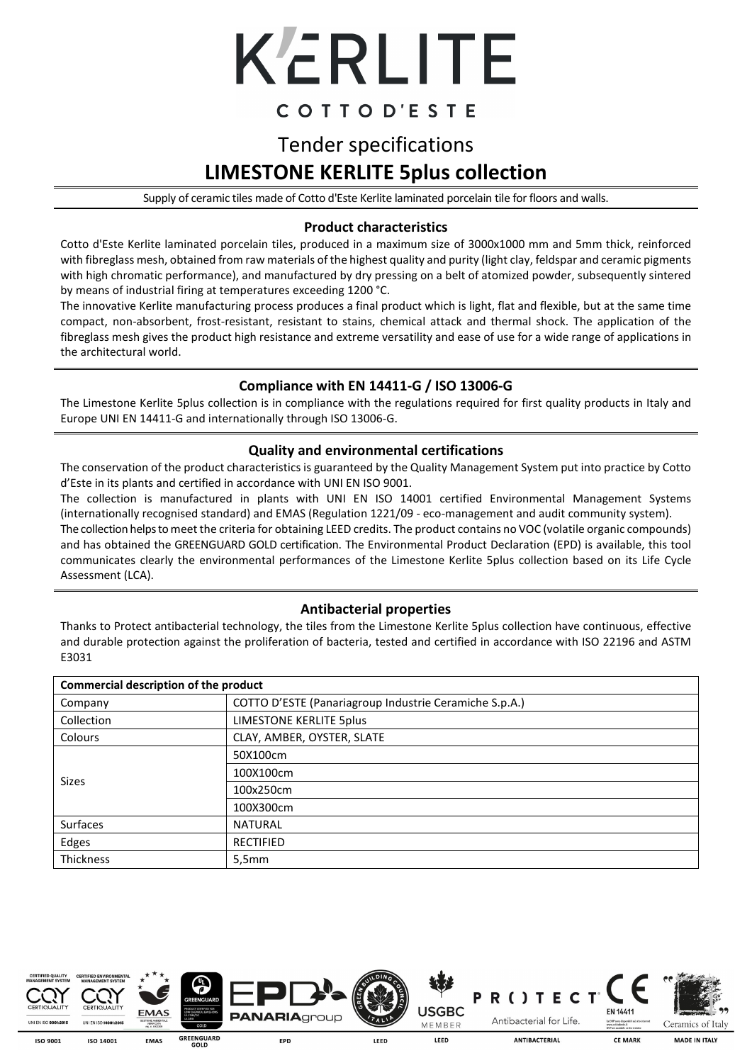

### COTTOD'ESTE

## Tender specifications **LIMESTONE KERLITE 5plus collection**

Supply of ceramic tiles made of Cotto d'Este Kerlite laminated porcelain tile for floors and walls.

#### **Product characteristics**

Cotto d'Este Kerlite laminated porcelain tiles, produced in a maximum size of 3000x1000 mm and 5mm thick, reinforced with fibreglass mesh, obtained from raw materials of the highest quality and purity (light clay, feldspar and ceramic pigments with high chromatic performance), and manufactured by dry pressing on a belt of atomized powder, subsequently sintered by means of industrial firing at temperatures exceeding 1200 °C.

The innovative Kerlite manufacturing process produces a final product which is light, flat and flexible, but at the same time compact, non-absorbent, frost-resistant, resistant to stains, chemical attack and thermal shock. The application of the fibreglass mesh gives the product high resistance and extreme versatility and ease of use for a wide range of applications in the architectural world.

### **Compliance with EN 14411-G / ISO 13006-G**

The Limestone Kerlite 5plus collection is in compliance with the regulations required for first quality products in Italy and Europe UNI EN 14411-G and internationally through ISO 13006-G.

### **Quality and environmental certifications**

The conservation of the product characteristics is guaranteed by the Quality Management System put into practice by Cotto d'Este in its plants and certified in accordance with UNI EN ISO 9001.

The collection is manufactured in plants with UNI EN ISO 14001 certified Environmental Management Systems (internationally recognised standard) and EMAS (Regulation 1221/09 - eco-management and audit community system).

The collection helps to meet the criteria for obtaining LEED credits. The product contains no VOC (volatile organic compounds) and has obtained the GREENGUARD GOLD certification. The Environmental Product Declaration (EPD) is available, this tool communicates clearly the environmental performances of the Limestone Kerlite 5plus collection based on its Life Cycle Assessment (LCA).

### **Antibacterial properties**

Thanks to Protect antibacterial technology, the tiles from the Limestone Kerlite 5plus collection have continuous, effective and durable protection against the proliferation of bacteria, tested and certified in accordance with ISO 22196 and ASTM E3031

| Commercial description of the product |                                                        |  |  |  |
|---------------------------------------|--------------------------------------------------------|--|--|--|
| Company                               | COTTO D'ESTE (Panariagroup Industrie Ceramiche S.p.A.) |  |  |  |
| Collection                            | LIMESTONE KERLITE 5plus                                |  |  |  |
| Colours                               | CLAY, AMBER, OYSTER, SLATE                             |  |  |  |
|                                       | 50X100cm                                               |  |  |  |
| Sizes                                 | 100X100cm                                              |  |  |  |
|                                       | 100x250cm                                              |  |  |  |
|                                       | 100X300cm                                              |  |  |  |
| Surfaces                              | <b>NATURAL</b>                                         |  |  |  |
| Edges                                 | <b>RECTIFIED</b>                                       |  |  |  |
| <b>Thickness</b>                      | 5,5mm                                                  |  |  |  |



150,9001 150 14001